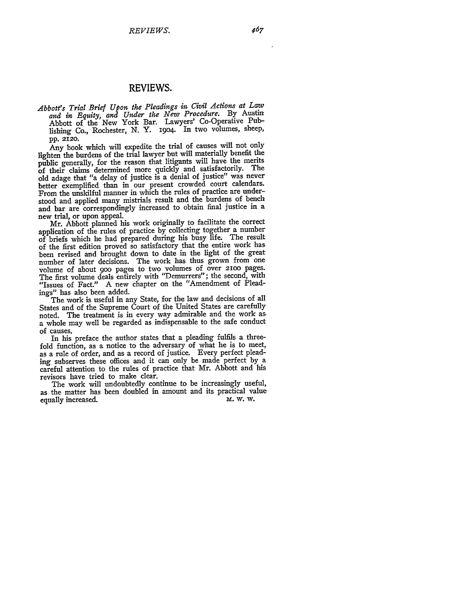## REVIEWS.

*Abbott's Trial Brief Upon the Pleadings in Civil Actions at Law and in Equity, and Under the New Procedure.* **By** Austin Abbott of the New York Bar. Lawyers' Co-Operative Publishing Co., Rochester, **N.** Y. **i9o4.** In two volumes, sheep, **pp. 2120.**

Any book which will expedite the trial of causes will not only lighten the burdens of the trial lawyer but will materially benefit the public generally, for the reason that litigants will have the merits of their claims determined more quickly and satisfactorily. The old adage that "a delay of justice is a denial of justice" was never better exemplified than in our present crowded court calendars. From the unskilful manner in which the rules of practice are understood and applied many mistrials result and the burdens of bench and bar are correspondingly increased to obtain final justice in a new trial, or upon appeal.

Mr. Abbott planned his work originally to facilitate the correct application of the rules of practice **by** collecting together a number of briefs which he had prepared during his busy life. The result of the first edition proved so satisfactory that the entire work has been revised and brought down to date in the light of the great number of later decisions. The work has thus grown from one volume of about *900* pages to two volumes of over **2100** pages. The first volume deals entirely with "Demurrers"; the second, with "Issues of Fact." **A** new chapter on the "Amendment of Pleadings" has also been added.

The work is useful in any State, for the law and decisions of all States and of the Supreme Court of the United States are carefully noted. The treatment is in every way admirable and the work as. a whole may well be regarded as indispensable to the safe conduct of causes.

In his preface the author states that a pleading fulfils a threefold function, as a notice to the adversary of what he is to meet, **as** a rule of order, and as a record of justice. Every perfect pleading subserves these offices and it can only be made perfect **by** a careful attention to the rules of practice that Mr. Abbott and his revisors have tried to make clear.

The work will undoubtedly continue to be increasingly useful, as the matter has been doubled in amount and its practical value-<br>equally increased.  $\mathbf{M}$ . W. W. equally increased.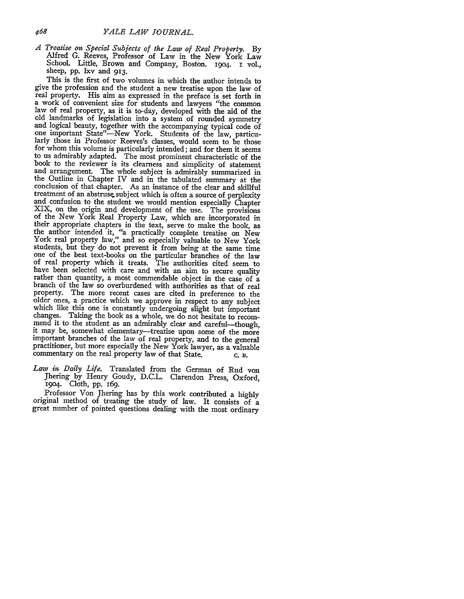*A Treatise on Special Subjects of the Law of Real Property. By* Alfred **G.** Reeves, Professor of Law in the New York Law School. Little, Brown and Company, Boston. 1904. I vol., sheep, **pp.** lxv and 913.

This is the first of two volumes in which the author intends to give the profession and the student a new treatise upon the law of real property. His aim as expressed in the preface is set forth in a work of convenient size for students and lawyers "the common law of real property, as it is to-day, developed with the aid of the old landmarks of legislation into a system of rounded symmetry and logical beauty, together with the accompanying typical code of one important State"-New York. Students of the law, particu- larly those in Professor Reeves's classes, would seem to be those for whom this volume is particularly intended; and for them it seems to us admirably adapted. The most prominent characteristic of the book to the reviewer is its clearness and simplicity of statement and arrangement. The whole subject is admirably summarized in the Outline in Chapter IV and in the tabulated summary at the conclusion of that chapter. As an instance of the clear and skillful treatment of an abstruse subject which is often a source of perplexity<br>and confusion to the student we would mention especially Chapter<br>XIX, on the origin and development of the use. The provisions<br>of the New York Real Pro their appropriate chapters in the text, serve to make the book, as the author intended it, "a practically complete treatise on New York real property law," and so especially valuable to New York students, but they do not prevent it from being at the same time one of the best text-books on the particular branches of the law of real property which it treats. The authorities cited seem to have been selected with care and with an aim to secure quality rather than quantity, a most commendable object in the case of a branch of the law so overburdened with authorities as that of real property. The more recent cases are cited in preference to the older ones, a practice which we approve in respect to any subject which like this one is constantly undergoing slight but important changes. Taking the book as a whole, we do not hesitate to recommend it to the student as an admirably clear and careful—though, mend it to the student as an admirably clear and careful-though, it may be, somewhat elementary-treatise upon some of the more important branches of the law of real property, and to the general practitioner, but more especially the New York lawyer, as a valuable practitioner, but more especially the New York lawyer, as a valuable commentary on the real property law of that State.  $\overline{c}$ . B.

*Law in Daily Life.* Translated from the German of Rud von Jhering by Henry Goudy, D.C.L. Clarendon Press, Oxford, 19o4. Cloth, pp. *169.*

Professor Von Jhering has by this work contributed a highly original method of treating the study of law. It consists of a great number of pointed questions dealing with the most ordinary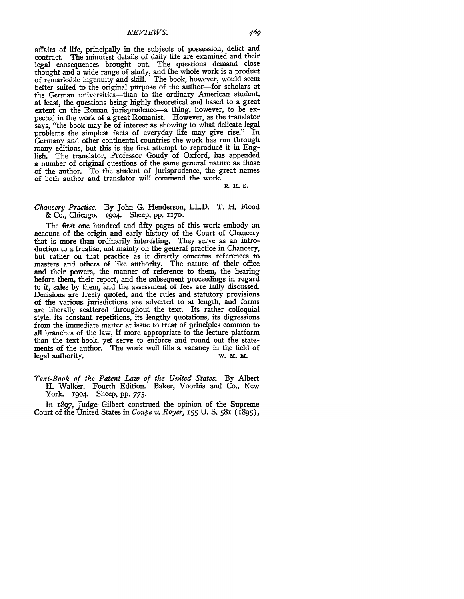*REVIEWS.*

affairs of life, principally in the subjects of possession, delict and contract. The minutest details of daily life are examined and their legal consequences brought out. The questions demand close thought and a wide range of study, and fhe whole work is a product of remarkable ingenuity and skill. The book, however, would seem better suited to the original purpose of the author-for scholars at the German universities-than to the ordinary American student, at least, the questions being highly theoretical and based to a great extent on the Roman jurisprudence-a thing, however, to be expected in the work of a great Romanist. However, as the translator says, "the book may be of interest as showing to what delicate legal problems the simplest facts of everyday life may give rise." In Germany and other continental countries the work has run through many editions, but this is the first attempt to reproduce it in English. The translator, Professor Goudy of Oxford, has appended a number of original questions of the same general nature as those of the author. To the student of jurisprudence, the great names of both author and translator will commend the work.

**R. H. S.**

*Chancery Praclice.* **By** John **G.** Henderson, LL.D. T. H. Flood & Co., Chicago. **19o4.** Sheep, **pp. 1170.**

The first one hundred and fifty pages of this work embody an account of the origin and early history of the Court of Chancery that is more than ordinarily interesting. They serve as an introduction to a treatise, not mainly on the general practice in Chancery, but rather on that practice as it directly concerns references to masters and others of like authority. The nature of their office and their powers, the manner of reference to them, the hearing before them, their report, and the subsequent proceedings in regard to it, sales **by** them, and the assessment of fees are fully discussed. Decisions are freely quoted, and the rules and statutory provisions of the various jurisdictions are adverted to at length, and forms are liberally scattered throughout the text. Its rather colloquial style, its constant repetitions, its lengthy quotations, its digressions from the immediate matter at issue to treat of principles common to all branches of the law, if more appropriate to the lecture platform than the text-book, yet serve to enforce and round out the statements of the author. The work well fills a vacancy in the field of legal authority. **w. M. M.**

*Text-Book of the Patent Law of the United States.* **By** Albert H. Walker. Fourth Edition. Baker, Voorhis and Co., New York. **19o4.** Sheep, pp. 775.

In 1897, Judge Gilbert construed the opinion of the Supreme Court of the United States in *Coupe v. Royer,* **155 U. S.** 581 (1895),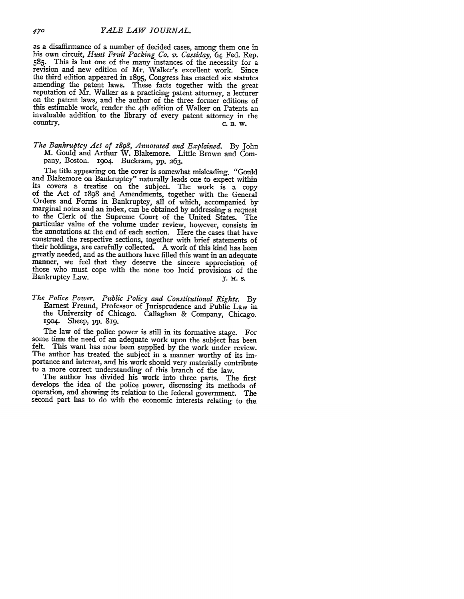as a disaffirmance of a number of decided cases, among them one in his own circuit, *Hunt Fruit Packing Co. v. Cassiday*,  $64$  Fed. Rep. 585. This is but one of the many instances of the necessity for a revision and new edition of Mr. Walker's excellent work. Since the third edition appeared in 1895, Congress has enacted six statutes amending the patent laws. These facts together with the great reputation of Mr. Walker as a practicing patent attorney, a lecturer on the patent laws, and the author of the three former editions of this estimable work, render the 4th edition of Walker on Patents an invaluable addition to the library of every patent attorney in the country. **Cancelland Country. C. B.** W.

*The Bankruptcy Act of -898, Annotated and Explained.* By John M. Gould and Arthur W. Blakemore. Little Brown and Company, Boston. **19o4.** Buckram, pp. 263.

The title appearing on the cover is somewhat misleading. "Gould and Blakemore on Bankruptcy" naturally leads one to expect within its covers a treatise on the subject. The work is a copy of the Act of 1898 and Amendments, together with the General Orders and Forms in Bankruptcy, all of which, accompanied by marginal notes and an index, can be obtained by addressing a request to the Clerk of the Supreme Court of the United States. The particular value of the volume under review, however, consists in the annotations at the end of each section. Here the cases that have construed the respective sections, together with brief statements of their holdings, are carefully collected. A work of this kind has been greatly needed, and as the authors have filled this want in an adequate manner, we feel that they deserve the sincere appreciation of those who must cope with the none too lucid provisions of the Bankruptcy Law. **J. 1.** S.

*The Police Power. Public Policy and Constitutional Rights. By* Earnest Freund, Professor of Jurisprudence and Public Law in the University of Chicago. Callaghan & Company, Chicago. **19o4.** Sheep, pp. 819.

The law of the police power is still in its formative stage. For some time the need of an adequate work upon the subject has been felt. This want has now been supplied by the work under review. The author has treated the subject in a manner worthy of its importance and interest, and his work should very materially contribute to a more correct understanding of this branch of the law.

The author has divided his work into three parts. The first develops the idea of the police power, discussing its methods of operation, and showing its relation to the federal government. The second part has to do with the economic interests relating to the

470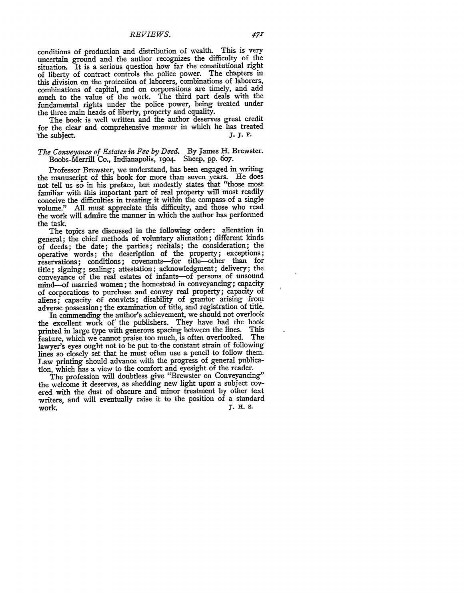*REVIEWS.*

conditions of production and distribution of wealth. This is very uncertain ground and the author recognizes the difficulty of the situation. It is a serious question how far the constitutional right of liberty of contract controls the police power. The chapters in this division on the protection of laborers, combinations of laborers, combinations of capital, and on corporations are timely, and add much to the value of the work. The third part deals with the fundamental rights under the police power, being treated under the three main heads of liberty, property and equality.

The book is well written and the author deserves great credit for the clear and comprehensive manner in which he has treated the subject.  $J \cdot J \cdot F$ . -the subject. **J. j. F.**

## *The Conveyance of Estates in Fee by Deed.* **By** James H. Brewster. Boobs-Merrill Co., Indianapolis, 19o4. Sheep, pp. 6o7.

Professor Brewster, we understand, has been engaged in writing the manuscript of this book for more than seven years. He does not tell us so in his preface, but modestly states that "those most familiar with this important part of real property will most readily conceive the difficulties in treating it within the compass of a single volume." All must appreciate this difficulty, and those who read the work will admire the manner in which the author has performed the task.

The topics are discussed in the following order: alienation in general; the chief methods of voluntary alienation; different kinds of deeds; the date; the parties; recitals; the consideration; the operative words; the description of the property; exceptions; reservations: conditions; covenants-for title-other than for title; signing; sealing; attestation; acknowledgment; delivery; the conveyance of the real estates of infants-of persons of unsound mind--of married women; the homestead in conveyancing; capacity of corporations to purchase and convey real property; capacity of aliens; capacity of convicts; disability of grantor arising from adverse possession; the examination of title, and registration of title.

In commending the author's achievement, we should not overlook the excellent work of the publishers. They have had the book printed in large type with generous spacing between the lines. feature, which we cannot praise too much, is often overlooked. The lawyer's eyes ought not to be put to the constant strain of following lines so closely set that he must often use a pencil to follow them. Law printing should advance with the progress of general publication, which has a view to the comfort and eyesight of the reader.

The profession will doubtless give "Brewster on Conveyancing" the welcome it deserves, as shedding new light upon a subject covered with the dust of obscure and minor treatment by other text writers, and will eventually raise it to the position of a standard work.<br>
J. H. S. work. **J. H. S.**